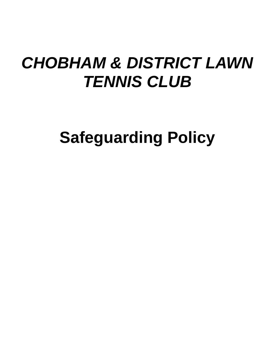# *CHOBHAM & DISTRICT LAWN TENNIS CLUB*

**Safeguarding Policy**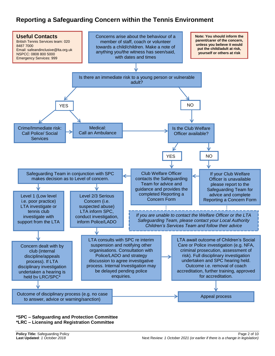# **Reporting a Safeguarding Concern within the Tennis Environment**



#### **\*SPC – Safeguarding and Protection Committee \*LRC – Licensing and Registration Committee**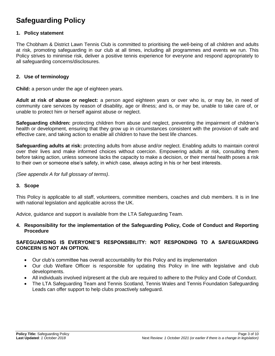# **Safeguarding Policy**

#### **1. Policy statement**

The Chobham & District Lawn Tennis Club is committed to prioritising the well-being of all children and adults at risk, promoting safeguarding in our club at all times, including all programmes and events we run. This Policy strives to minimise risk, deliver a positive tennis experience for everyone and respond appropriately to all safeguarding concerns/disclosures.

#### **2. Use of terminology**

**Child:** a person under the age of eighteen years.

**Adult at risk of abuse or neglect:** a person aged eighteen years or over who is, or may be, in need of community care services by reason of disability, age or illness; and is, or may be, unable to take care of, or unable to protect him or herself against abuse or neglect.

**Safeguarding children:** protecting children from abuse and neglect, preventing the impairment of children's health or development, ensuring that they grow up in circumstances consistent with the provision of safe and effective care, and taking action to enable all children to have the best life chances.

**Safeguarding adults at risk:** protecting adults from abuse and/or neglect. Enabling adults to maintain control over their lives and make informed choices without coercion. Empowering adults at risk, consulting them before taking action, unless someone lacks the capacity to make a decision, or their mental health poses a risk to their own or someone else's safety, in which case, always acting in his or her best interests.

*(See appendix A for full glossary of terms)*.

#### **3. Scope**

This Policy is applicable to all staff, volunteers, committee members, coaches and club members. It is in line with national legislation and applicable across the UK.

Advice, guidance and support is available from the LTA Safeguarding Team.

#### **4. Responsibility for the implementation of the Safeguarding Policy, Code of Conduct and Reporting Procedure**

#### **SAFEGUARDING IS EVERYONE'S RESPONSIBILITY: NOT RESPONDING TO A SAFEGUARDING CONCERN IS NOT AN OPTION.**

- Our club's committee has overall accountability for this Policy and its implementation
- Our club Welfare Officer is responsible for updating this Policy in line with legislative and club developments.
- All individuals involved in/present at the club are required to adhere to the Policy and Code of Conduct.
- The LTA Safeguarding Team and Tennis Scotland, Tennis Wales and Tennis Foundation Safeguarding Leads can offer support to help clubs proactively safeguard.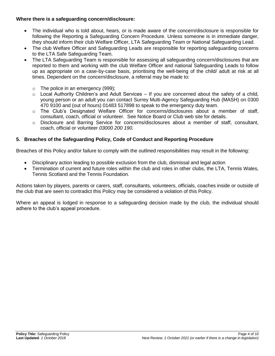#### **Where there is a safeguarding concern/disclosure:**

- The individual who is told about, hears, or is made aware of the concern/disclosure is responsible for following the Reporting a Safeguarding Concern Procedure. Unless someone is in immediate danger, they should inform their club Welfare Officer, LTA Safeguarding Team or National Safeguarding Lead.
- The club Welfare Officer and Safeguarding Leads are responsible for reporting safeguarding concerns to the LTA Safe Safeguarding Team.
- The LTA Safeguarding Team is responsible for assessing all safeguarding concern/disclosures that are reported to them and working with the club Welfare Officer and national Safeguarding Leads to follow up as appropriate on a case-by-case basis, prioritising the well-being of the child/ adult at risk at all times. Dependent on the concern/disclosure, a referral may be made to:
	- $\circ$  The police in an emergency (999);
	- $\circ$  Local Authority Children's and Adult Services If you are concerned about the safety of a child, young person or an adult you can contact Surrey Multi-Agency Safeguarding Hub (MASH) on 0300 470 9100 and (out of hours) 01483 517898 to speak to the emergency duty team.
	- o The Club's Designated Welfare Officer for concerns/disclosures about a member of staff, consultant, coach, official or volunteer. See Notice Board or Club web site for details.
	- o Disclosure and Barring Service for concerns/disclosures about a member of staff, consultant, coach, official or volunteer *03000 200 190.*

#### **5. Breaches of the Safeguarding Policy, Code of Conduct and Reporting Procedure**

Breaches of this Policy and/or failure to comply with the outlined responsibilities may result in the following:

- Disciplinary action leading to possible exclusion from the club, dismissal and legal action
- Termination of current and future roles within the club and roles in other clubs, the LTA, Tennis Wales, Tennis Scotland and the Tennis Foundation*.*

Actions taken by players, parents or carers, staff, consultants, volunteers, officials, coaches inside or outside of the club that are seen to contradict this Policy may be considered a violation of this Policy.

Where an appeal is lodged in response to a safeguarding decision made by the club, the individual should adhere to the club's appeal procedure.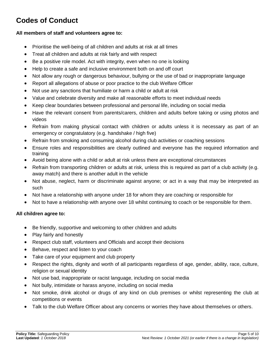# **Codes of Conduct**

#### **All members of staff and volunteers agree to:**

- Prioritise the well-being of all children and adults at risk at all times
- Treat all children and adults at risk fairly and with respect
- Be a positive role model. Act with integrity, even when no one is looking
- Help to create a safe and inclusive environment both on and off court
- Not allow any rough or dangerous behaviour, bullying or the use of bad or inappropriate language
- Report all allegations of abuse or poor practice to the club Welfare Officer
- Not use any sanctions that humiliate or harm a child or adult at risk
- Value and celebrate diversity and make all reasonable efforts to meet individual needs
- Keep clear boundaries between professional and personal life, including on social media
- Have the relevant consent from parents/carers, children and adults before taking or using photos and videos
- Refrain from making physical contact with children or adults unless it is necessary as part of an emergency or congratulatory (e.g. handshake / high five)
- Refrain from smoking and consuming alcohol during club activities or coaching sessions
- Ensure roles and responsibilities are clearly outlined and everyone has the required information and training
- Avoid being alone with a child or adult at risk unless there are exceptional circumstances
- Refrain from transporting children or adults at risk, unless this is required as part of a club activity (e.g. away match) and there is another adult in the vehicle
- Not abuse, neglect, harm or discriminate against anyone; or act in a way that may be interpreted as such
- Not have a relationship with anyone under 18 for whom they are coaching or responsible for
- Not to have a relationship with anyone over 18 whilst continuing to coach or be responsible for them.

#### **All children agree to:**

- Be friendly, supportive and welcoming to other children and adults
- Play fairly and honestly
- Respect club staff, volunteers and Officials and accept their decisions
- Behave, respect and listen to your coach
- Take care of your equipment and club property
- Respect the rights, dignity and worth of all participants regardless of age, gender, ability, race, culture, religion or sexual identity
- Not use bad, inappropriate or racist language, including on social media
- Not bully, intimidate or harass anyone, including on social media
- Not smoke, drink alcohol or drugs of any kind on club premises or whilst representing the club at competitions or events
- Talk to the club Welfare Officer about any concerns or worries they have about themselves or others.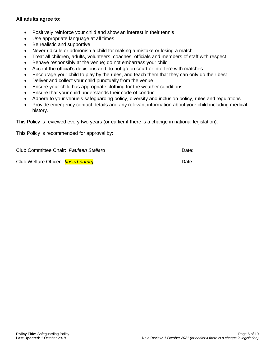#### **All adults agree to:**

- Positively reinforce your child and show an interest in their tennis
- Use appropriate language at all times
- Be realistic and supportive
- Never ridicule or admonish a child for making a mistake or losing a match
- Treat all children, adults, volunteers, coaches, officials and members of staff with respect
- Behave responsibly at the venue; do not embarrass your child
- Accept the official's decisions and do not go on court or interfere with matches
- Encourage your child to play by the rules, and teach them that they can only do their best
- Deliver and collect your child punctually from the venue
- Ensure your child has appropriate clothing for the weather conditions
- Ensure that your child understands their code of conduct
- Adhere to your venue's safeguarding policy, diversity and inclusion policy, rules and regulations
- Provide emergency contact details and any relevant information about your child including medical history.

This Policy is reviewed every two years (or earlier if there is a change in national legislation).

This Policy is recommended for approval by:

Club Committee Chair: *Pauleen Stallard* Date:

Club Welfare Officer: *[insert name]*: Date: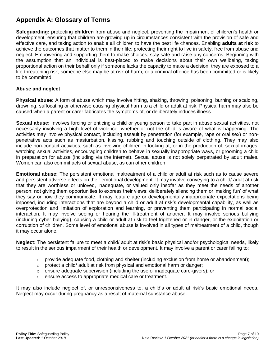# **Appendix A: Glossary of Terms**

**Safeguarding:** protecting **children** from abuse and neglect, preventing the impairment of children's health or development, ensuring that children are growing up in circumstances consistent with the provision of safe and effective care, and taking action to enable all children to have the best life chances. Enabling **adults at risk** to achieve the outcomes that matter to them in their life; protecting their right to live in safety, free from abuse and neglect. Empowering and supporting them to make choices, stay safe and raise any concerns. Beginning with the assumption that an individual is best-placed to make decisions about their own wellbeing, taking proportional action on their behalf only if someone lacks the capacity to make a decision, they are exposed to a life-threatening risk, someone else may be at risk of harm, or a criminal offence has been committed or is likely to be committed.

#### **Abuse and neglect**

**Physical abuse:** A form of abuse which may involve hitting, shaking, throwing, poisoning, burning or scalding, drowning, suffocating or otherwise causing physical harm to a child or adult at risk. Physical harm may also be caused when a parent or carer fabricates the symptoms of, or deliberately induces illness

**Sexual abuse:** Involves forcing or enticing a child or young person to take part in abuse sexual activities, not necessarily involving a high level of violence, whether or not the child is aware of what is happening. The activities may involve physical contact, including assault by penetration (for example, rape or oral sex) or nonpenetrative acts such as masturbation, kissing, rubbing and touching outside of clothing. They may also include non-contact activities, such as involving children in looking at, or in the production of, sexual images, watching sexual activities, encouraging children to behave in sexually inappropriate ways, or grooming a child in preparation for abuse (including via the internet). Sexual abuse is not solely perpetrated by adult males. Women can also commit acts of sexual abuse, as can other children

**Emotional abuse:** The persistent emotional maltreatment of a child or adult at risk such as to cause severe and persistent adverse effects on their emotional development. It may involve conveying to a child/ adult at risk that they are worthless or unloved, inadequate, or valued only insofar as they meet the needs of another person; not giving them opportunities to express their views; deliberately silencing them or 'making fun' of what they say or how they communicate. It may feature age or developmentally inappropriate expectations being imposed, including interactions that are beyond a child or adult at risk's developmental capability, as well as overprotection and limitation of exploration and learning, or preventing them participating in normal social interaction. It may involve seeing or hearing the ill-treatment of another. It may involve serious bullying (including cyber bullying), causing a child or adult at risk to feel frightened or in danger, or the exploitation or corruption of children. Some level of emotional abuse is involved in all types of maltreatment of a child, though it may occur alone.

**Neglect:** The persistent failure to meet a child/ adult at risk's basic physical and/or psychological needs, likely to result in the serious impairment of their health or development. It may involve a parent or carer failing to:

- o provide adequate food, clothing and shelter (including exclusion from home or abandonment);
- o protect a child/ adult at risk from physical and emotional harm or danger;
- $\circ$  ensure adequate supervision (including the use of inadequate care-givers); or
- o ensure access to appropriate medical care or treatment.

It may also include neglect of, or unresponsiveness to, a child's or adult at risk's basic emotional needs. Neglect may occur during pregnancy as a result of maternal substance abuse.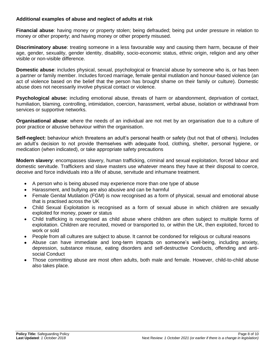#### **Additional examples of abuse and neglect of adults at risk**

**Financial abuse**: having money or property stolen; being defrauded; being put under pressure in relation to money or other property; and having money or other property misused.

**Discriminatory abuse**: treating someone in a less favourable way and causing them harm, because of their age, gender, sexuality, gender identity, disability, socio-economic status, ethnic origin, religion and any other visible or non-visible difference.

**Domestic abuse**: includes physical, sexual, psychological or financial abuse by someone who is, or has been a partner or family member. Includes forced marriage, female genital mutilation and honour-based violence (an act of violence based on the belief that the person has brought shame on their family or culture). Domestic abuse does not necessarily involve physical contact or violence.

**Psychological abuse:** including emotional abuse, threats of harm or abandonment, deprivation of contact, humiliation, blaming, controlling, intimidation, coercion, harassment, verbal abuse, isolation or withdrawal from services or supportive networks.

**Organisational abuse**: where the needs of an individual are not met by an organisation due to a culture of poor practice or abusive behaviour within the organisation.

**Self-neglect:** behaviour which threatens an adult's personal health or safety (but not that of others). Includes an adult's decision to not provide themselves with adequate food, clothing, shelter, personal hygiene, or medication (when indicated), or take appropriate safety precautions

**Modern slavery**: encompasses slavery, human trafficking, criminal and sexual exploitation, forced labour and domestic servitude. Traffickers and slave masters use whatever means they have at their disposal to coerce, deceive and force individuals into a life of abuse, servitude and inhumane treatment.

- A person who is being abused may experience more than one type of abuse
- Harassment, and bullying are also abusive and can be harmful
- Female Genital Mutilation (FGM) is now recognised as a form of physical, sexual and emotional abuse that is practised across the UK
- Child Sexual Exploitation is recognised as a form of sexual abuse in which children are sexually exploited for money, power or status
- Child trafficking is recognised as child abuse where children are often subject to multiple forms of exploitation. Children are recruited, moved or transported to, or within the UK, then exploited, forced to work or sold
- People from all cultures are subject to abuse. It cannot be condoned for religious or cultural reasons
- Abuse can have immediate and long-term impacts on someone's well-being, including anxiety, depression, substance misuse, eating disorders and self-destructive Conducts, offending and antisocial Conduct
- Those committing abuse are most often adults, both male and female. However, child-to-child abuse also takes place.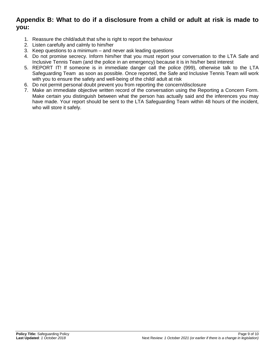### **Appendix B: What to do if a disclosure from a child or adult at risk is made to you:**

- 1. Reassure the child/adult that s/he is right to report the behaviour
- 2. Listen carefully and calmly to him/her
- 3. Keep questions to a minimum and never ask leading questions
- 4. Do not promise secrecy. Inform him/her that you must report your conversation to the LTA Safe and Inclusive Tennis Team (and the police in an emergency) because it is in his/her best interest
- 5. REPORT IT! If someone is in immediate danger call the police (999), otherwise talk to the LTA Safeguarding Team as soon as possible. Once reported, the Safe and Inclusive Tennis Team will work with you to ensure the safety and well-being of the child/ adult at risk
- 6. Do not permit personal doubt prevent you from reporting the concern/disclosure
- 7. Make an immediate objective written record of the conversation using the Reporting a Concern Form. Make certain you distinguish between what the person has actually said and the inferences you may have made. Your report should be sent to the LTA Safeguarding Team within 48 hours of the incident, who will store it safely.